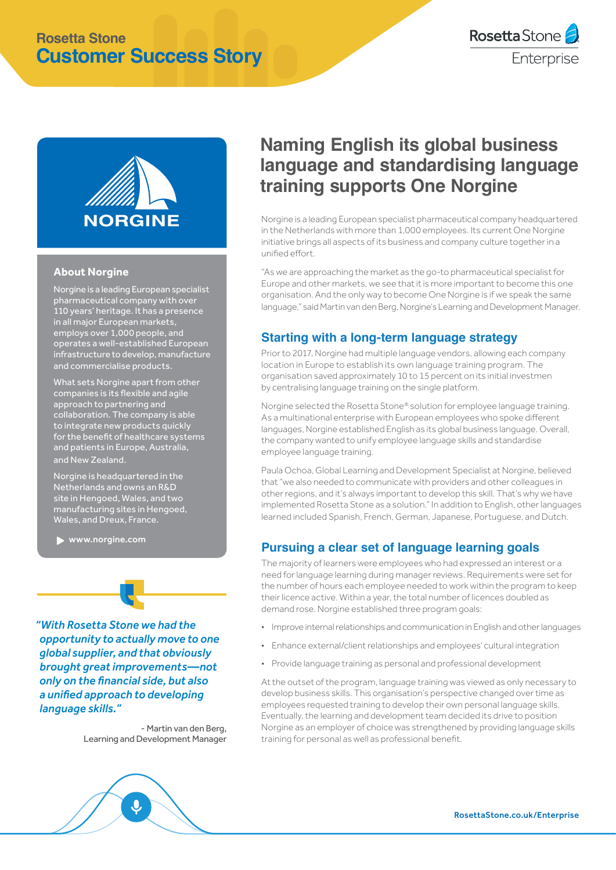## **Rosetta Stone Customer Success Story**





#### **About Norgine**

Norgine is a leading European specialist pharmaceutical company with over 110 years' heritage. It has a presence in all major European markets, employs over 1,000 people, and operates a well-established European infrastructure to develop, manufacture and commercialise products.

What sets Norgine apart from other companies is its flexible and agile approach to partnering and collaboration. The company is able to integrate new products quickly for the benefit of healthcare systems and patients in Europe, Australia, and New Zealand.

Norgine is headquartered in the Netherlands and owns an R&D site in Hengoed, Wales, and two manufacturing sites in Hengoed, Wales, and Dreux, France.

[www.norgine.com](http://www.norgine.com)

*"With Rosetta Stone we had the opportunity to actually move to one global supplier, and that obviously brought great improvements—not only on the financial side, but also a unified approach to developing language skills."*

> - Martin van den Berg, Learning and Development Manager



# **Naming English its global business language and standardising language training supports One Norgine**

Norgine is a leading European specialist pharmaceutical company headquartered in the Netherlands with more than 1,000 employees. Its current One Norgine initiative brings all aspects of its business and company culture together in a unified effort.

"As we are approaching the market as the go-to pharmaceutical specialist for Europe and other markets, we see that it is more important to become this one organisation. And the only way to become One Norgine is if we speak the same language," said Martin van den Berg, Norgine's Learning and Development Manager.

#### **Starting with a long-term language strategy**

Prior to 2017, Norgine had multiple language vendors, allowing each company location in Europe to establish its own language training program. The organisation saved approximately 10 to 15 percent on its initial investmen by centralising language training on the single platform.

Norgine selected the Rosetta Stone® solution for employee language training. As a multinational enterprise with European employees who spoke different languages, Norgine established English as its global business language. Overall, the company wanted to unify employee language skills and standardise employee language training.

Paula Ochoa, Global Learning and Development Specialist at Norgine, believed that "we also needed to communicate with providers and other colleagues in other regions, and it's always important to develop this skill. That's why we have implemented Rosetta Stone as a solution." In addition to English, other languages learned included Spanish, French, German, Japanese, Portuguese, and Dutch.

#### **Pursuing a clear set of language learning goals**

The majority of learners were employees who had expressed an interest or a need for language learning during manager reviews. Requirements were set for the number of hours each employee needed to work within the program to keep their licence active. Within a year, the total number of licences doubled as demand rose. Norgine established three program goals:

- Improve internal relationships and communication in English and other languages
- Enhance external/client relationships and employees' cultural integration
- Provide language training as personal and professional development

At the outset of the program, language training was viewed as only necessary to develop business skills. This organisation's perspective changed over time as employees requested training to develop their own personal language skills. Eventually, the learning and development team decided its drive to position Norgine as an employer of choice was strengthened by providing language skills training for personal as well as professional benefit.